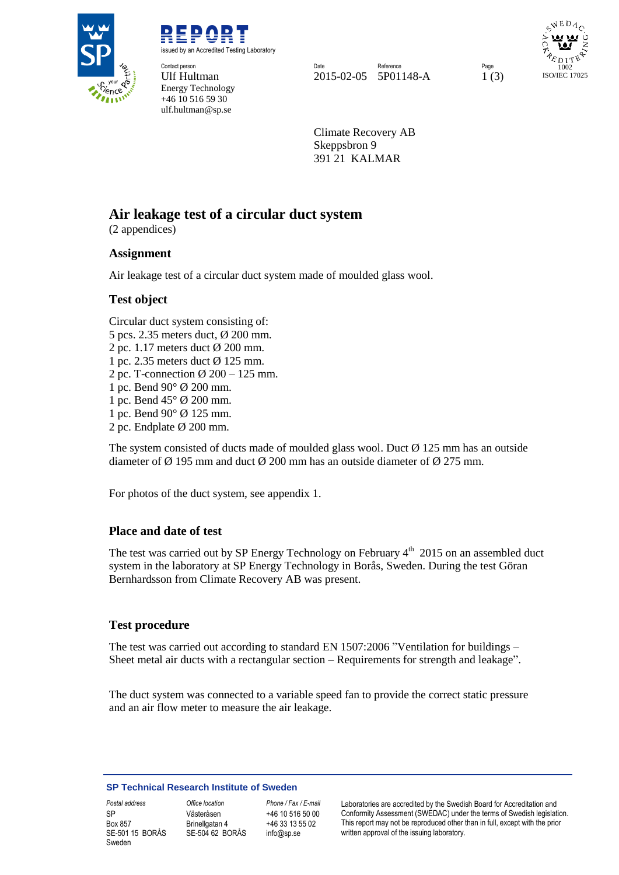

REPORT issued by an Accredited Testing Laboratory

**Contact person** Energy Technology +46 10 516 59 30 ulf.hultman@sp.se

Contact person **Page Reference Reference** Page Reference Reference Reference Page Ulf Hultman 2015-02-05 5P01148-A 1 (3)

WEDA 1002 ISO/IEC 17025

Climate Recovery AB Skeppsbron 9 391 21 KALMAR

# **Air leakage test of a circular duct system**

(2 appendices)

### **Assignment**

Air leakage test of a circular duct system made of moulded glass wool.

### **Test object**

Circular duct system consisting of: 5 pcs. 2.35 meters duct, Ø 200 mm. 2 pc. 1.17 meters duct Ø 200 mm. 1 pc. 2.35 meters duct Ø 125 mm. 2 pc. T-connection  $\varnothing$  200 – 125 mm. 1 pc. Bend 90° Ø 200 mm. 1 pc. Bend 45° Ø 200 mm. 1 pc. Bend 90° Ø 125 mm. 2 pc. Endplate Ø 200 mm.

The system consisted of ducts made of moulded glass wool. Duct  $\varnothing$  125 mm has an outside diameter of  $\varnothing$  195 mm and duct  $\varnothing$  200 mm has an outside diameter of  $\varnothing$  275 mm.

For photos of the duct system, see appendix 1.

### **Place and date of test**

The test was carried out by SP Energy Technology on February 4<sup>th</sup> 2015 on an assembled duct system in the laboratory at SP Energy Technology in Borås, Sweden. During the test Göran Bernhardsson from Climate Recovery AB was present.

### **Test procedure**

The test was carried out according to standard EN 1507:2006 "Ventilation for buildings – Sheet metal air ducts with a rectangular section – Requirements for strength and leakage".

The duct system was connected to a variable speed fan to provide the correct static pressure and an air flow meter to measure the air leakage.

#### **SP Technical Research Institute of Sweden**

SP Box 857 SE-501 15 BORÅS Sweden

Västeråsen Brinellgatan 4 SE-504 62 BORÅS

+46 10 516 50 00 +46 33 13 55 02 info@sp.se

*Postal address Office location Phone / Fax / E-mail* Laboratories are accredited by the Swedish Board for Accreditation and Conformity Assessment (SWEDAC) under the terms of Swedish legislation. This report may not be reproduced other than in full, except with the prior written approval of the issuing laboratory.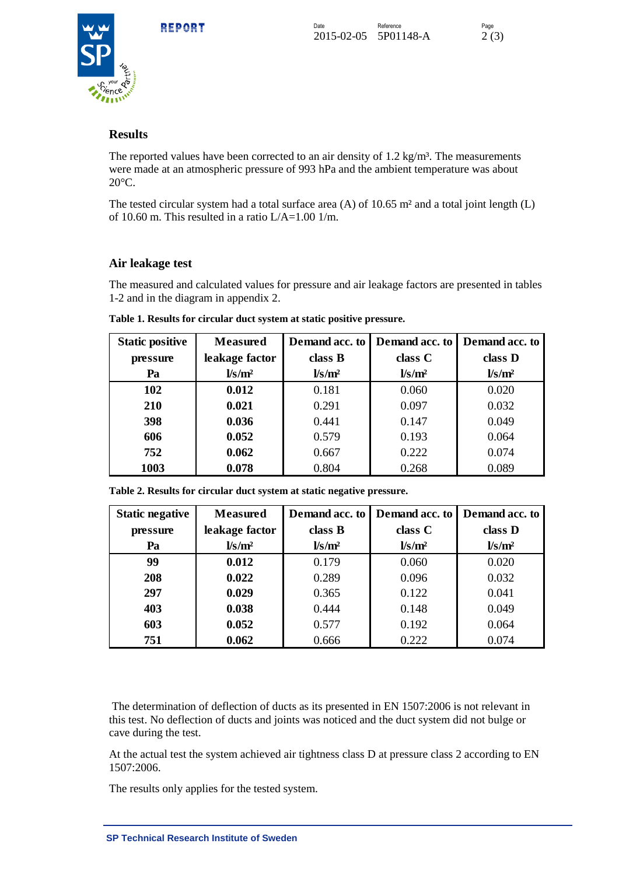



### **Results**

The reported values have been corrected to an air density of  $1.2 \text{ kg/m}^3$ . The measurements were made at an atmospheric pressure of 993 hPa and the ambient temperature was about 20°C.

The tested circular system had a total surface area (A) of 10.65 m² and a total joint length (L) of 10.60 m. This resulted in a ratio L/A=1.00 1/m.

### **Air leakage test**

The measured and calculated values for pressure and air leakage factors are presented in tables 1-2 and in the diagram in appendix 2.

| <b>Static positive</b> | <b>Measured</b>                             |                                | Demand acc. to Demand acc. to               | Demand acc. to                              |
|------------------------|---------------------------------------------|--------------------------------|---------------------------------------------|---------------------------------------------|
| pressure               | leakage factor                              | class B                        | class C                                     | class D                                     |
| Pa                     | $\frac{\text{l}}{\text{s}}$ /m <sup>2</sup> | $\frac{\text{Vs}}{\text{m}^2}$ | $\frac{\text{V}}{\text{s}}$ /m <sup>2</sup> | $\frac{\text{l}}{\text{s}}$ /m <sup>2</sup> |
| 102                    | 0.012                                       | 0.181                          | 0.060                                       | 0.020                                       |
| 210                    | 0.021                                       | 0.291                          | 0.097                                       | 0.032                                       |
| 398                    | 0.036                                       | 0.441                          | 0.147                                       | 0.049                                       |
| 606                    | 0.052                                       | 0.579                          | 0.193                                       | 0.064                                       |
| 752                    | 0.062                                       | 0.667                          | 0.222                                       | 0.074                                       |
| 1003                   | 0.078                                       | 0.804                          | 0.268                                       | 0.089                                       |

**Table 1. Results for circular duct system at static positive pressure.** 

| <b>Static negative</b> | <b>Measured</b>                | Demand acc. to                 | Demand acc. to                 | Demand acc. to                 |
|------------------------|--------------------------------|--------------------------------|--------------------------------|--------------------------------|
| pressure               | leakage factor                 | class B                        | class C                        | class D                        |
| Pa                     | $\frac{\text{Vs}}{\text{m}^2}$ | $\frac{\text{Vs}}{\text{m}^2}$ | $\frac{\text{Vs}}{\text{m}^2}$ | $\frac{\text{Vs}}{\text{m}^2}$ |
| 99                     | 0.012                          | 0.179                          | 0.060                          | 0.020                          |
| 208                    | 0.022                          | 0.289                          | 0.096                          | 0.032                          |
| 297                    | 0.029                          | 0.365                          | 0.122                          | 0.041                          |
| 403                    | 0.038                          | 0.444                          | 0.148                          | 0.049                          |
| 603                    | 0.052                          | 0.577                          | 0.192                          | 0.064                          |
| 751                    | 0.062                          | 0.666                          | 0.222                          | 0.074                          |

**Table 2. Results for circular duct system at static negative pressure.** 

The determination of deflection of ducts as its presented in EN 1507:2006 is not relevant in this test. No deflection of ducts and joints was noticed and the duct system did not bulge or cave during the test.

At the actual test the system achieved air tightness class D at pressure class 2 according to EN 1507:2006.

The results only applies for the tested system.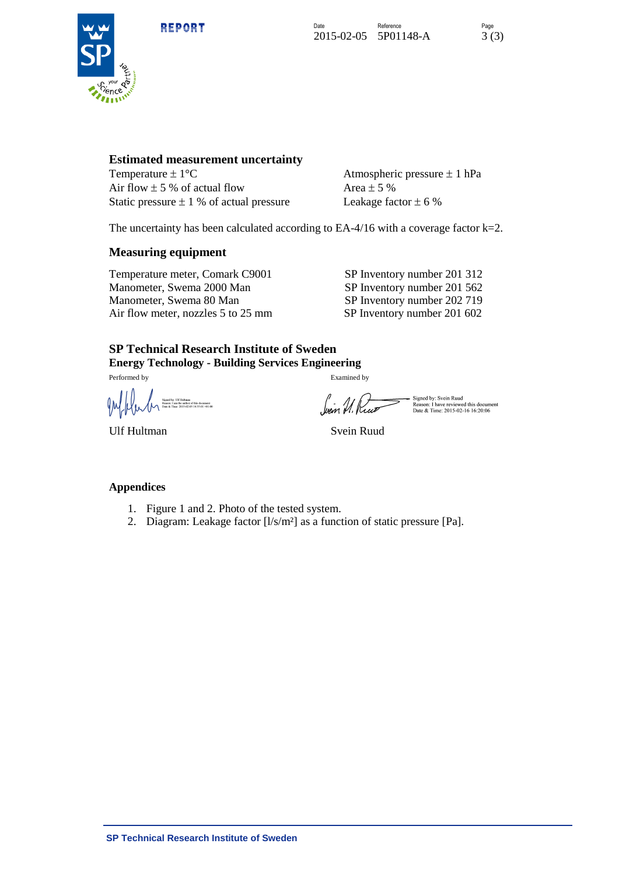REPORT





#### **Estimated measurement uncertainty**

Temperature  $\pm 1^{\circ}$ C Atmospheric pressure  $\pm 1$  hPa Air flow  $\pm$  5 % of actual flow Area  $\pm$  5 % Static pressure  $\pm$  1 % of actual pressure Leakage factor  $\pm$  6 %

The uncertainty has been calculated according to EA-4/16 with a coverage factor k=2.

#### **Measuring equipment**

Temperature meter, Comark C9001 SP Inventory number 201 312 Manometer, Swema 2000 Man SP Inventory number 201 562 Manometer, Swema 80 Man SP Inventory number 202 719<br>Air flow meter, nozzles 5 to 25 mm SP Inventory number 201 602 Air flow meter, nozzles 5 to 25 mm

## **SP Technical Research Institute of Sweden**

**Energy Technology - Building Services Engineering**

Performed by Examined by

Signed by: UH Hultman<br>Reason: I am the author of this document<br>Date & Time: 2015-02-05 14:55:01 +01:00

Signed by: Svein Ruud<br>Reason: I have reviewed this document<br>Date & Time: 2015-02-16 16:20:06

Ulf Hultman Svein Ruud

#### **Appendices**

- 1. Figure 1 and 2. Photo of the tested system.
- 2. Diagram: Leakage factor [l/s/m²] as a function of static pressure [Pa].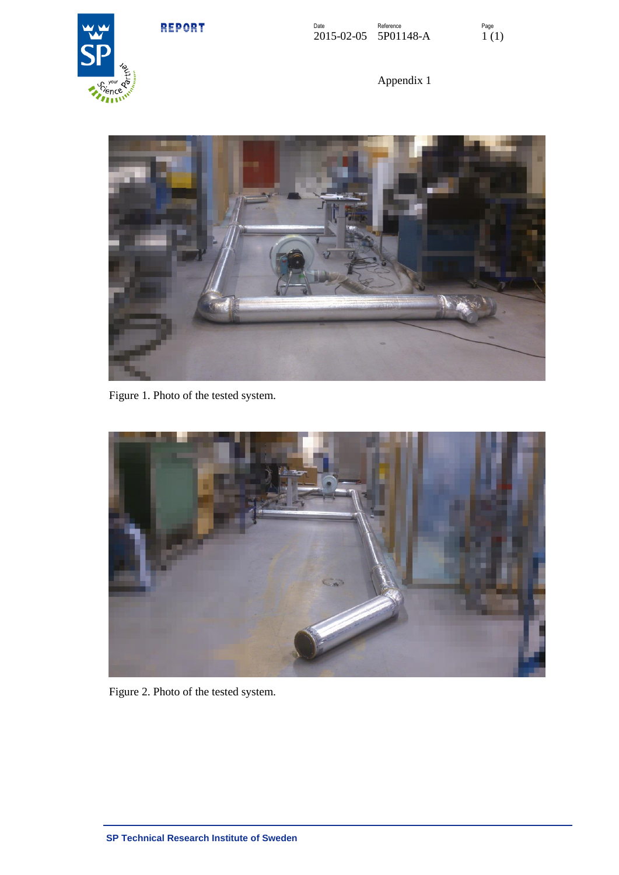REPORT



Appendix 1



Figure 1. Photo of the tested system.



Figure 2. Photo of the tested system.